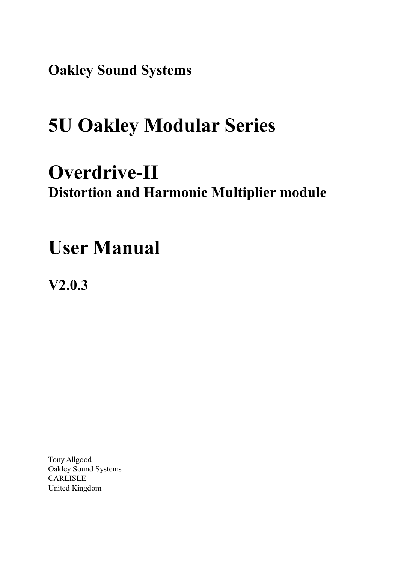**Oakley Sound Systems**

# **5U Oakley Modular Series**

## **Overdrive-II Distortion and Harmonic Multiplier module**

## **User Manual**

**V2.0.3**

Tony Allgood Oakley Sound Systems CARLISLE United Kingdom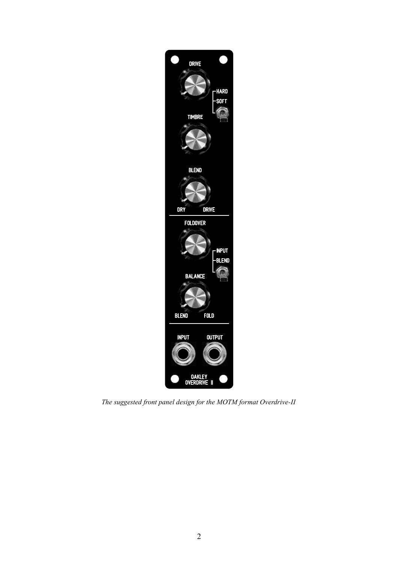

*The suggested front panel design for the MOTM format Overdrive-II*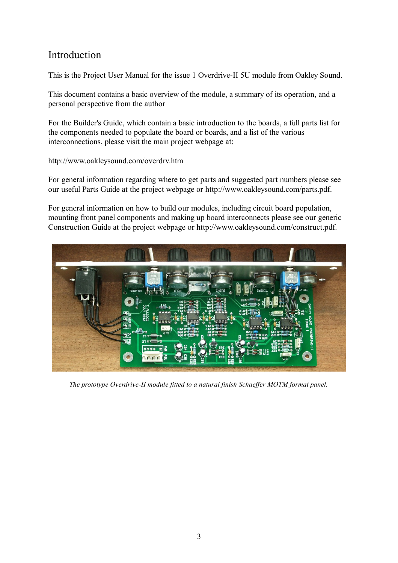## Introduction

This is the Project User Manual for the issue 1 Overdrive-II 5U module from Oakley Sound.

This document contains a basic overview of the module, a summary of its operation, and a personal perspective from the author

For the Builder's Guide, which contain a basic introduction to the boards, a full parts list for the components needed to populate the board or boards, and a list of the various interconnections, please visit the main project webpage at:

http://www.oakleysound.com/overdrv.htm

For general information regarding where to get parts and suggested part numbers please see our useful Parts Guide at the project webpage or http://www.oakleysound.com/parts.pdf.

For general information on how to build our modules, including circuit board population, mounting front panel components and making up board interconnects please see our generic Construction Guide at the project webpage or http://www.oakleysound.com/construct.pdf.



*The prototype Overdrive-II module fitted to a natural finish Schaeffer MOTM format panel.*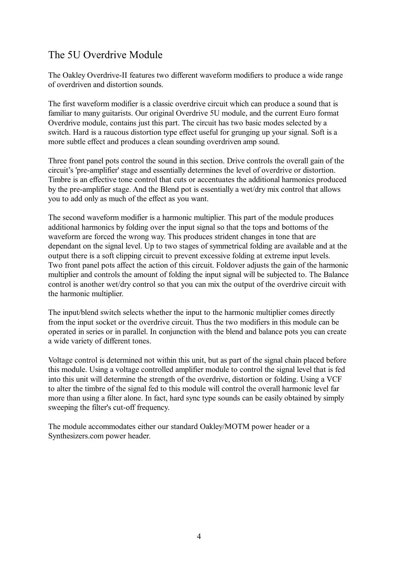## The 5U Overdrive Module

The Oakley Overdrive-II features two different waveform modifiers to produce a wide range of overdriven and distortion sounds.

The first waveform modifier is a classic overdrive circuit which can produce a sound that is familiar to many guitarists. Our original Overdrive 5U module, and the current Euro format Overdrive module, contains just this part. The circuit has two basic modes selected by a switch. Hard is a raucous distortion type effect useful for grunging up your signal. Soft is a more subtle effect and produces a clean sounding overdriven amp sound.

Three front panel pots control the sound in this section. Drive controls the overall gain of the circuit's 'pre-amplifier' stage and essentially determines the level of overdrive or distortion. Timbre is an effective tone control that cuts or accentuates the additional harmonics produced by the pre-amplifier stage. And the Blend pot is essentially a wet/dry mix control that allows you to add only as much of the effect as you want.

The second waveform modifier is a harmonic multiplier. This part of the module produces additional harmonics by folding over the input signal so that the tops and bottoms of the waveform are forced the wrong way. This produces strident changes in tone that are dependant on the signal level. Up to two stages of symmetrical folding are available and at the output there is a soft clipping circuit to prevent excessive folding at extreme input levels. Two front panel pots affect the action of this circuit. Foldover adjusts the gain of the harmonic multiplier and controls the amount of folding the input signal will be subjected to. The Balance control is another wet/dry control so that you can mix the output of the overdrive circuit with the harmonic multiplier.

The input/blend switch selects whether the input to the harmonic multiplier comes directly from the input socket or the overdrive circuit. Thus the two modifiers in this module can be operated in series or in parallel. In conjunction with the blend and balance pots you can create a wide variety of different tones.

Voltage control is determined not within this unit, but as part of the signal chain placed before this module. Using a voltage controlled amplifier module to control the signal level that is fed into this unit will determine the strength of the overdrive, distortion or folding. Using a VCF to alter the timbre of the signal fed to this module will control the overall harmonic level far more than using a filter alone. In fact, hard sync type sounds can be easily obtained by simply sweeping the filter's cut-off frequency.

The module accommodates either our standard Oakley/MOTM power header or a Synthesizers.com power header.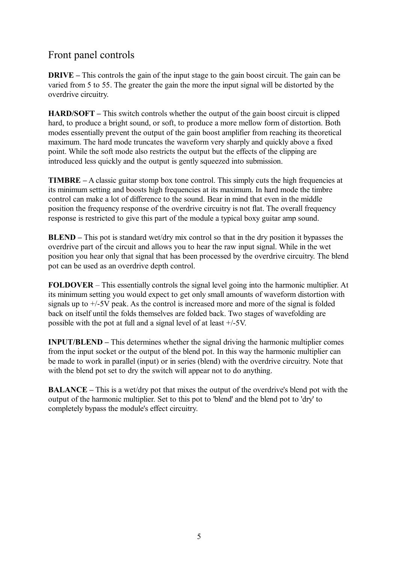### Front panel controls

**DRIVE** – This controls the gain of the input stage to the gain boost circuit. The gain can be varied from 5 to 55. The greater the gain the more the input signal will be distorted by the overdrive circuitry.

**HARD/SOFT –** This switch controls whether the output of the gain boost circuit is clipped hard, to produce a bright sound, or soft, to produce a more mellow form of distortion. Both modes essentially prevent the output of the gain boost amplifier from reaching its theoretical maximum. The hard mode truncates the waveform very sharply and quickly above a fixed point. While the soft mode also restricts the output but the effects of the clipping are introduced less quickly and the output is gently squeezed into submission.

**TIMBRE –** A classic guitar stomp box tone control. This simply cuts the high frequencies at its minimum setting and boosts high frequencies at its maximum. In hard mode the timbre control can make a lot of difference to the sound. Bear in mind that even in the middle position the frequency response of the overdrive circuitry is not flat. The overall frequency response is restricted to give this part of the module a typical boxy guitar amp sound.

**BLEND –** This pot is standard wet/dry mix control so that in the dry position it bypasses the overdrive part of the circuit and allows you to hear the raw input signal. While in the wet position you hear only that signal that has been processed by the overdrive circuitry. The blend pot can be used as an overdrive depth control.

**FOLDOVER** – This essentially controls the signal level going into the harmonic multiplier. At its minimum setting you would expect to get only small amounts of waveform distortion with signals up to +/-5V peak. As the control is increased more and more of the signal is folded back on itself until the folds themselves are folded back. Two stages of wavefolding are possible with the pot at full and a signal level of at least +/-5V.

**INPUT/BLEND** – This determines whether the signal driving the harmonic multiplier comes from the input socket or the output of the blend pot. In this way the harmonic multiplier can be made to work in parallel (input) or in series (blend) with the overdrive circuitry. Note that with the blend pot set to dry the switch will appear not to do anything.

**BALANCE –** This is a wet/dry pot that mixes the output of the overdrive's blend pot with the output of the harmonic multiplier. Set to this pot to 'blend' and the blend pot to 'dry' to completely bypass the module's effect circuitry.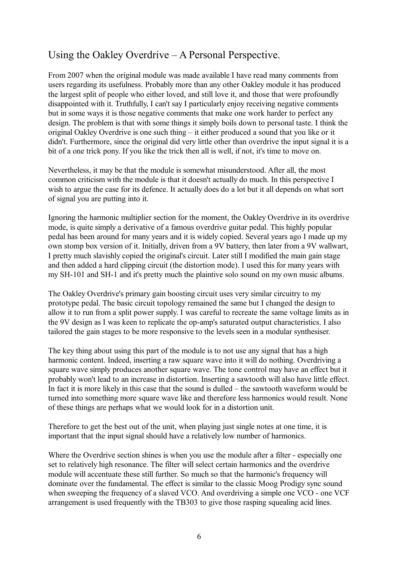## Using the Oakley Overdrive – A Personal Perspective.

From 2007 when the original module was made available I have read many comments from users regarding its usefulness. Probably more than any other Oakley module it has produced the largest split of people who either loved, and still love it, and those that were profoundly disappointed with it. Truthfully, I can't say I particularly enjoy receiving negative comments but in some ways it is those negative comments that make one work harder to perfect any design. The problem is that with some things it simply boils down to personal taste. I think the original Oakley Overdrive is one such thing – it either produced a sound that you like or it didn't. Furthermore, since the original did very little other than overdrive the input signal it is a bit of a one trick pony. If you like the trick then all is well, if not, it's time to move on.

Nevertheless, it may be that the module is somewhat misunderstood. After all, the most common criticism with the module is that it doesn't actually do much. In this perspective I wish to argue the case for its defence. It actually does do a lot but it all depends on what sort of signal you are putting into it.

Ignoring the harmonic multiplier section for the moment, the Oakley Overdrive in its overdrive mode, is quite simply a derivative of a famous overdrive guitar pedal. This highly popular pedal has been around for many years and it is widely copied. Several years ago I made up my own stomp box version of it. Initially, driven from a 9V battery, then later from a 9V wallwart, I pretty much slavishly copied the original's circuit. Later still I modified the main gain stage and then added a hard clipping circuit (the distortion mode). I used this for many years with my SH-101 and SH-1 and it's pretty much the plaintive solo sound on my own music albums.

The Oakley Overdrive's primary gain boosting circuit uses very similar circuitry to my prototype pedal. The basic circuit topology remained the same but I changed the design to allow it to run from a split power supply. I was careful to recreate the same voltage limits as in the 9V design as I was keen to replicate the op-amp's saturated output characteristics. I also tailored the gain stages to be more responsive to the levels seen in a modular synthesiser.

The key thing about using this part of the module is to not use any signal that has a high harmonic content. Indeed, inserting a raw square wave into it will do nothing. Overdriving a square wave simply produces another square wave. The tone control may have an effect but it probably won't lead to an increase in distortion. Inserting a sawtooth will also have little effect. In fact it is more likely in this case that the sound is dulled – the sawtooth waveform would be turned into something more square wave like and therefore less harmonics would result. None of these things are perhaps what we would look for in a distortion unit.

Therefore to get the best out of the unit, when playing just single notes at one time, it is important that the input signal should have a relatively low number of harmonics.

Where the Overdrive section shines is when you use the module after a filter - especially one set to relatively high resonance. The filter will select certain harmonics and the overdrive module will accentuate these still further. So much so that the harmonic's frequency will dominate over the fundamental. The effect is similar to the classic Moog Prodigy sync sound when sweeping the frequency of a slaved VCO. And overdriving a simple one VCO - one VCF arrangement is used frequently with the TB303 to give those rasping squealing acid lines.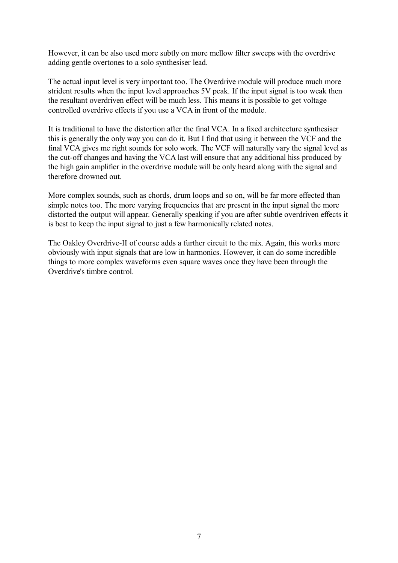However, it can be also used more subtly on more mellow filter sweeps with the overdrive adding gentle overtones to a solo synthesiser lead.

The actual input level is very important too. The Overdrive module will produce much more strident results when the input level approaches 5V peak. If the input signal is too weak then the resultant overdriven effect will be much less. This means it is possible to get voltage controlled overdrive effects if you use a VCA in front of the module.

It is traditional to have the distortion after the final VCA. In a fixed architecture synthesiser this is generally the only way you can do it. But I find that using it between the VCF and the final VCA gives me right sounds for solo work. The VCF will naturally vary the signal level as the cut-off changes and having the VCA last will ensure that any additional hiss produced by the high gain amplifier in the overdrive module will be only heard along with the signal and therefore drowned out.

More complex sounds, such as chords, drum loops and so on, will be far more effected than simple notes too. The more varying frequencies that are present in the input signal the more distorted the output will appear. Generally speaking if you are after subtle overdriven effects it is best to keep the input signal to just a few harmonically related notes.

The Oakley Overdrive-II of course adds a further circuit to the mix. Again, this works more obviously with input signals that are low in harmonics. However, it can do some incredible things to more complex waveforms even square waves once they have been through the Overdrive's timbre control.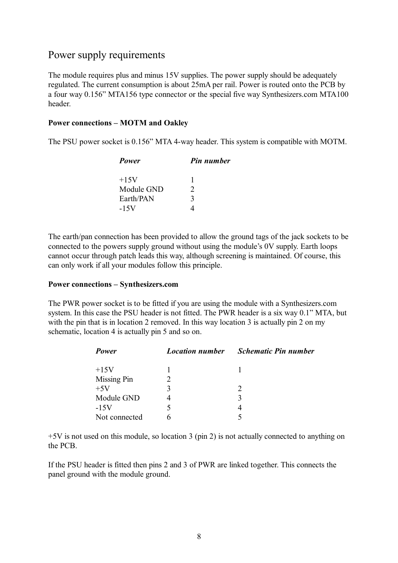#### Power supply requirements

The module requires plus and minus 15V supplies. The power supply should be adequately regulated. The current consumption is about 25mA per rail. Power is routed onto the PCB by a four way 0.156" MTA156 type connector or the special five way Synthesizers.com MTA100 header.

#### **Power connections – MOTM and Oakley**

The PSU power socket is 0.156" MTA 4-way header. This system is compatible with MOTM.

| Power      | <b>Pin number</b> |
|------------|-------------------|
| $+15V$     |                   |
| Module GND | $\mathcal{D}$     |
| Earth/PAN  | 3                 |
| $-15V$     |                   |

The earth/pan connection has been provided to allow the ground tags of the jack sockets to be connected to the powers supply ground without using the module's 0V supply. Earth loops cannot occur through patch leads this way, although screening is maintained. Of course, this can only work if all your modules follow this principle.

#### **Power connections – Synthesizers.com**

The PWR power socket is to be fitted if you are using the module with a Synthesizers.com system. In this case the PSU header is not fitted. The PWR header is a six way 0.1" MTA, but with the pin that is in location 2 removed. In this way location 3 is actually pin 2 on my schematic, location 4 is actually pin 5 and so on.

| Power         | <b>Location number</b> | <b>Schematic Pin number</b> |
|---------------|------------------------|-----------------------------|
| $+15V$        |                        |                             |
| Missing Pin   |                        |                             |
| $+5V$         |                        | $\mathcal{L}$               |
| Module GND    |                        |                             |
| $-15V$        |                        |                             |
| Not connected |                        |                             |

+5V is not used on this module, so location 3 (pin 2) is not actually connected to anything on the PCB.

If the PSU header is fitted then pins 2 and 3 of PWR are linked together. This connects the panel ground with the module ground.